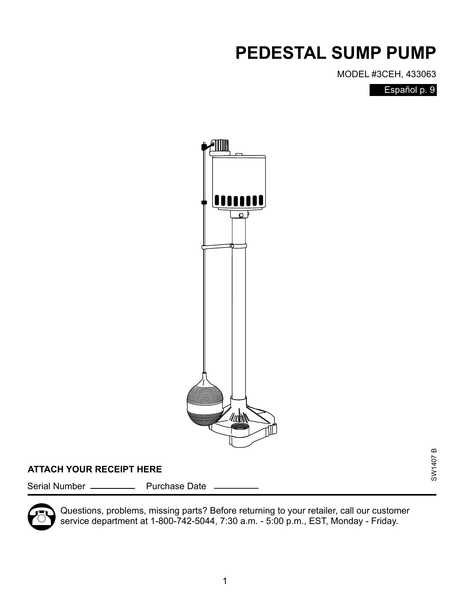## **PEDESTAL SUMP PUMP**

MODEL #3CEH, 433063

Español p. 9



### **ATTACH YOUR RECEIPT HERE**

Serial Number \_\_\_\_\_\_\_\_\_\_\_\_\_ Purchase Date



Questions, problems, missing parts? Before returning to your retailer, call our customer service department at 1-800-742-5044, 7:30 a.m. - 5:00 p.m., EST, Monday - Friday.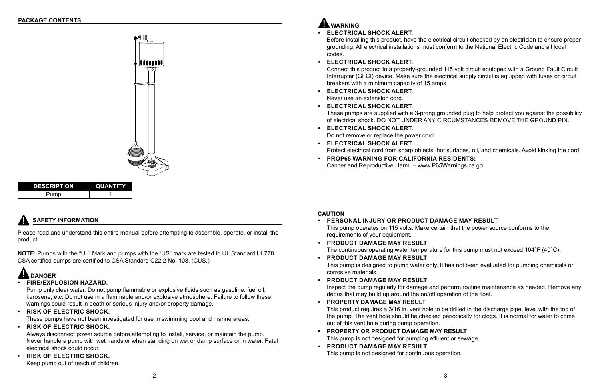

## **SAFETY INFORMATION**

| <b>DESCRIPTION</b> | <b>QUANTITY</b> |
|--------------------|-----------------|
| Pump               |                 |

Please read and understand this entire manual before attempting to assemble, operate, or install the product.

**NOTE**: Pumps with the "UL" Mark and pumps with the "US" mark are tested to UL Standard UL778. CSA certified pumps are certified to CSA Standard C22.2 No. 108. (CUS.)

## **AL** DANGER

Before installing this product, have the electrical circuit checked by an electrician to ensure proper grounding. All electrical installations must conform to the National Electric Code and all local

- **• ELECTRICAL SHOCK ALERT.** codes.
- **• ELECTRICAL SHOCK ALERT.**

Connect this product to a properly-grounded 115 volt circuit equipped with a Ground Fault Circuit Interrupter (GFCI) device. Make sure the electrical supply circuit is equipped with fuses or circuit breakers with a minimum capacity of 15 amps

These pumps are supplied with a 3-prong grounded plug to help protect you against the possibility of electrical shock. DO NOT UNDER ANY CIRCUMSTANCES REMOVE THE GROUND PIN.

- **• ELECTRICAL SHOCK ALERT.** Never use an extension cord.
- **• ELECTRICAL SHOCK ALERT.**
- **• ELECTRICAL SHOCK ALERT.** Do not remove or replace the power cord.
- **• ELECTRICAL SHOCK ALERT.**
- **• PROP65 WARNING FOR CALIFORNIA RESIDENTS:**  Cancer and Reproductive Harm – www.P65Warnings.ca.go

Protect electrical cord from sharp objects, hot surfaces, oil, and chemicals. Avoid kinking the cord.

### **• FIRE/EXPLOSION HAZARD.**

Pump only clear water. Do not pump flammable or explosive fluids such as gasoline, fuel oil, kerosene, etc. Do not use in a flammable and/or explosive atmosphere. Failure to follow these warnings could result in death or serious injury and/or property damage.

**• RISK OF ELECTRIC SHOCK.** 

These pumps have not been investigated for use in swimming pool and marine areas.

**• RISK OF ELECTRIC SHOCK.** 

Always disconnect power source before attempting to install, service, or maintain the pump. Never handle a pump with wet hands or when standing on wet or damp surface or in water. Fatal electrical shock could occur.

**• RISK OF ELECTRIC SHOCK.**  Keep pump out of reach of children.

## **AL WARNING**

### **CAUTION**

The continuous operating water temperature for this pump must not exceed 104°F (40°C).

This pump is designed to pump water only. It has not been evaluated for pumping chemicals or

Inspect the pump regularly for damage and perform routine maintenance as needed. Remove any

- **• PERSONAL INJURY OR PRODUCT DAMAGE MAY RESULT** This pump operates on 115 volts. Make certain that the power source conforms to the requirements of your equipment.
- **• PRODUCT DAMAGE MAY RESULT**
- **• PRODUCT DAMAGE MAY RESULT** corrosive materials.
- **• PRODUCT DAMAGE MAY RESULT** debris that may build up around the on/off operation of the float.
- **• PROPERTY DAMAGE MAY RESULT** out of this vent hole during pump operation.
- **• PROPERTY OR PRODUCT DAMAGE MAY RESULT** This pump is not designed for pumping effluent or sewage.
- **• PRODUCT DAMAGE MAY RESULT** This pump is not designed for continuous operation.

This product requires a 3/16 in. vent hole to be drilled in the discharge pipe, level with the top of the pump. The vent hole should be checked periodically for clogs. It is normal for water to come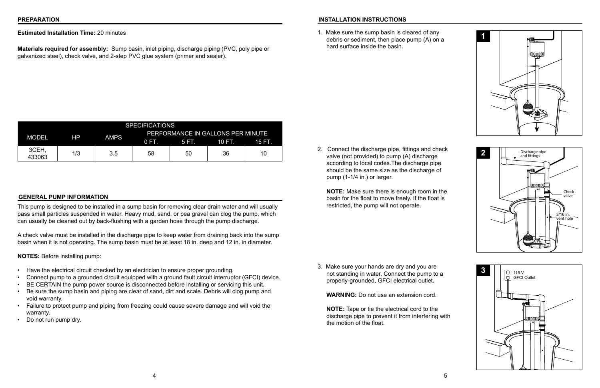**Estimated Installation Time:** 20 minutes

**Materials required for assembly:** Sump basin, inlet piping, discharge piping (PVC, poly pipe or galvanized steel), check valve, and 2-step PVC glue system (primer and sealer).

#### **GENERAL PUMP INFORMATION**

This pump is designed to be installed in a sump basin for removing clear drain water and will usually pass small particles suspended in water. Heavy mud, sand, or pea gravel can clog the pump, which can usually be cleaned out by back-flushing with a garden hose through the pump discharge.

A check valve must be installed in the discharge pipe to keep water from draining back into the sump basin when it is not operating. The sump basin must be at least 18 in. deep and 12 in. in diameter.

**NOTES:** Before installing pump:

- Have the electrical circuit checked by an electrician to ensure proper grounding.
- Connect pump to a grounded circuit equipped with a ground fault circuit interruptor (GFCI) device.
- BE CERTAIN the pump power source is disconnected before installing or servicing this unit.
- Be sure the sump basin and piping are clear of sand, dirt and scale. Debris will clog pump and void warranty.
- Failure to protect pump and piping from freezing could cause severe damage and will void the warranty.
- Do not run pump dry.

| <b>SPECIFICATIONS</b> |     |             |                                   |       |        |        |
|-----------------------|-----|-------------|-----------------------------------|-------|--------|--------|
| <b>MODEL</b><br>HP.   |     | <b>AMPS</b> | PERFORMANCE IN GALLONS PER MINUTE |       |        |        |
|                       |     |             | $0 F$ .                           | 5 FT. | 10 FT. | 15 FT. |
| 3CEH,<br>433063       | 1/3 | 3.5         | 58                                | 50    | 36     | 10     |

#### **INSTALLATION INSTRUCTIONS**

1. Make sure the sump basin is cleared of any debris or sediment, then place pump (A) on a hard surface inside the basin.



2. Connect the discharge pipe, fittings and check valve (not provided) to pump (A) discharge according to local codes.The discharge pipe should be the same size as the discharge of pump (1-1/4 in.) or larger.

**NOTE:** Make sure there is enough room in the basin for the float to move freely. If the float is restricted, the pump will not operate.





3. Make sure your hands are dry and you are not standing in water. Connect the pump to a properly-grounded, GFCI electrical outlet.

**WARNING:** Do not use an extension cord.

**NOTE:** Tape or tie the electrical cord to the discharge pipe to prevent it from interfering with the motion of the float.



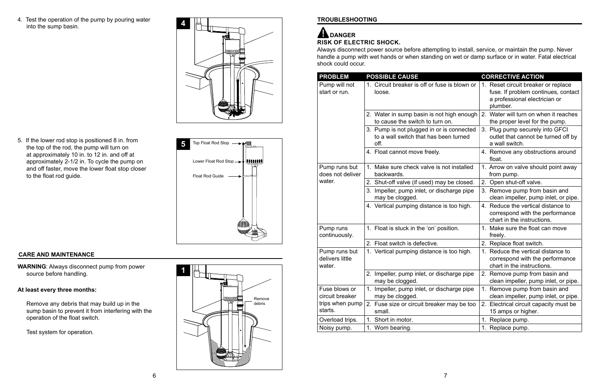4. Test the operation of the pump by pouring water into the sump basin.

**4**

#### **CARE AND MAINTENANCE**

**WARNING**: Always disconnect pump from power source before handling.

#### **At least every three months:**



5. If the lower rod stop is positioned 8 in. from the top of the rod, the pump will turn on at approximately 10 in. to 12 in. and off at approximately 2-1/2 in. To cycle the pump on and off faster, move the lower float stop closer to the float rod guide. The set of the float Rod Guide is a set of the float Rod Guide is a set of the Float Rod Guide

Remove any debris that may build up in the sump basin to prevent it from interfering with the operation of the float switch.

Test system for operation.



#### **TROUBLESHOOTING**

# ADANGER

| <b>PROBLEM</b>                             | <b>POSSIBLE CAUSE</b>                                                                      | <b>CORRECTIVE ACTION</b>                                                                                                |
|--------------------------------------------|--------------------------------------------------------------------------------------------|-------------------------------------------------------------------------------------------------------------------------|
| Pump will not<br>start or run.             | Circuit breaker is off or fuse is blown or<br>$1_{\cdot}$<br>loose.                        | 1. Reset circuit breaker or replace<br>fuse. If problem continues, contact<br>a professional electrician or<br>plumber. |
|                                            | 2. Water in sump basin is not high enough<br>to cause the switch to turn on.               | 2. Water will turn on when it reaches<br>the proper level for the pump.                                                 |
|                                            | 3. Pump is not plugged in or is connected<br>to a wall switch that has been turned<br>off. | 3. Plug pump securely into GFCI<br>outlet that cannot be turned off by<br>a wall switch.                                |
|                                            | 4. Float cannot move freely.                                                               | 4. Remove any obstructions around<br>float.                                                                             |
| Pump runs but<br>does not deliver          | 1. Make sure check valve is not installed<br>backwards.                                    | 1. Arrow on valve should point away<br>from pump.                                                                       |
| water.                                     | 2. Shut-off valve (if used) may be closed.                                                 | 2. Open shut-off valve.                                                                                                 |
|                                            | 3. Impeller, pump inlet, or discharge pipe<br>may be clogged.                              | 3. Remove pump from basin and<br>clean impeller, pump inlet, or pipe.                                                   |
|                                            | 4. Vertical pumping distance is too high.                                                  | 4. Reduce the vertical distance to<br>correspond with the performance<br>chart in the instructions.                     |
| Pump runs<br>continuously.                 | 1. Float is stuck in the 'on' position.                                                    | 1. Make sure the float can move<br>freely.                                                                              |
|                                            | 2. Float switch is defective.                                                              | 2. Replace float switch.                                                                                                |
| Pump runs but<br>delivers little<br>water. | 1. Vertical pumping distance is too high.                                                  | 1. Reduce the vertical distance to<br>correspond with the performance<br>chart in the instructions.                     |
|                                            | 2. Impeller, pump inlet, or discharge pipe<br>may be clogged.                              | 2. Remove pump from basin and<br>clean impeller, pump inlet, or pipe.                                                   |
| Fuse blows or<br>circuit breaker           | 1.<br>Impeller, pump inlet, or discharge pipe<br>may be clogged.                           | Remove pump from basin and<br>$1_{-}$<br>clean impeller, pump inlet, or pipe.                                           |
| trips when pump<br>starts.                 | 2. Fuse size or circuit breaker may be too<br>small.                                       | 2. Electrical circuit capacity must be<br>15 amps or higher.                                                            |
| Overload trips.                            | Short in motor.<br>1.                                                                      | Replace pump.<br>1.                                                                                                     |
| Noisy pump.                                | 1. Worn bearing.                                                                           | 1. Replace pump.                                                                                                        |

**RISK OF ELECTRIC SHOCK.** 

Always disconnect power source before attempting to install, service, or maintain the pump. Never handle a pump with wet hands or when standing on wet or damp surface or in water. Fatal electrical shock could occur.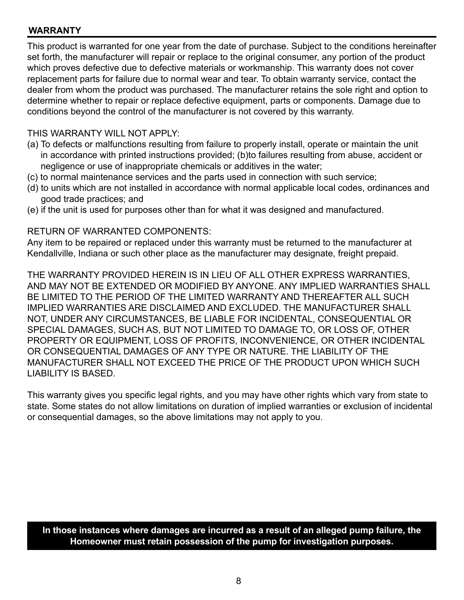#### **WARRANTY**

This product is warranted for one year from the date of purchase. Subject to the conditions hereinafter set forth, the manufacturer will repair or replace to the original consumer, any portion of the product which proves defective due to defective materials or workmanship. This warranty does not cover replacement parts for failure due to normal wear and tear. To obtain warranty service, contact the dealer from whom the product was purchased. The manufacturer retains the sole right and option to determine whether to repair or replace defective equipment, parts or components. Damage due to conditions beyond the control of the manufacturer is not covered by this warranty.

#### THIS WARRANTY WILL NOT APPLY:

- (a) To defects or malfunctions resulting from failure to properly install, operate or maintain the unit in accordance with printed instructions provided; (b)to failures resulting from abuse, accident or negligence or use of inappropriate chemicals or additives in the water;
- (c) to normal maintenance services and the parts used in connection with such service;
- (d) to units which are not installed in accordance with normal applicable local codes, ordinances and good trade practices; and
- (e) if the unit is used for purposes other than for what it was designed and manufactured.

#### RETURN OF WARRANTED COMPONENTS:

Any item to be repaired or replaced under this warranty must be returned to the manufacturer at Kendallville, Indiana or such other place as the manufacturer may designate, freight prepaid.

THE WARRANTY PROVIDED HEREIN IS IN LIEU OF ALL OTHER EXPRESS WARRANTIES, AND MAY NOT BE EXTENDED OR MODIFIED BY ANYONE. ANY IMPLIED WARRANTIES SHALL BE LIMITED TO THE PERIOD OF THE LIMITED WARRANTY AND THEREAFTER ALL SUCH IMPLIED WARRANTIES ARE DISCLAIMED AND EXCLUDED. THE MANUFACTURER SHALL NOT, UNDER ANY CIRCUMSTANCES, BE LIABLE FOR INCIDENTAL, CONSEQUENTIAL OR SPECIAL DAMAGES, SUCH AS, BUT NOT LIMITED TO DAMAGE TO, OR LOSS OF, OTHER PROPERTY OR EQUIPMENT, LOSS OF PROFITS, INCONVENIENCE, OR OTHER INCIDENTAL OR CONSEQUENTIAL DAMAGES OF ANY TYPE OR NATURE. THE LIABILITY OF THE MANUFACTURER SHALL NOT EXCEED THE PRICE OF THE PRODUCT UPON WHICH SUCH LIABILITY IS BASED.

This warranty gives you specific legal rights, and you may have other rights which vary from state to state. Some states do not allow limitations on duration of implied warranties or exclusion of incidental or consequential damages, so the above limitations may not apply to you.

#### **In those instances where damages are incurred as a result of an alleged pump failure, the Homeowner must retain possession of the pump for investigation purposes.**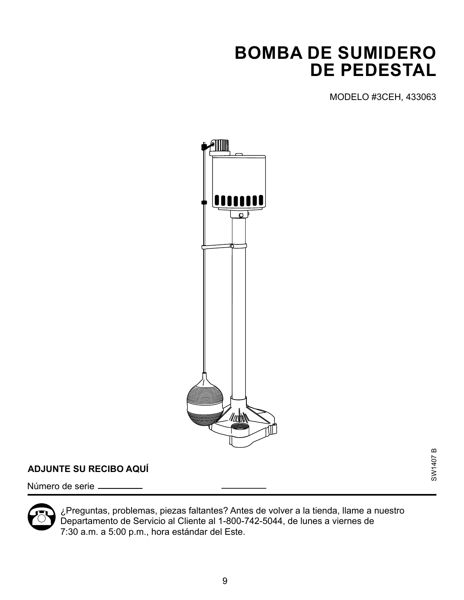## **BOMBA DE SUMIDERO DE PEDESTAL**

MODELO #3CEH, 433063

SW1407 B

**SW1407B** 



### **ADJUNTE SU RECIBO AQUÍ**

Número de serie



¿Preguntas, problemas, piezas faltantes? Antes de volver a la tienda, llame a nuestro Departamento de Servicio al Cliente al 1-800-742-5044, de lunes a viernes de 7:30 a.m. a 5:00 p.m., hora estándar del Este.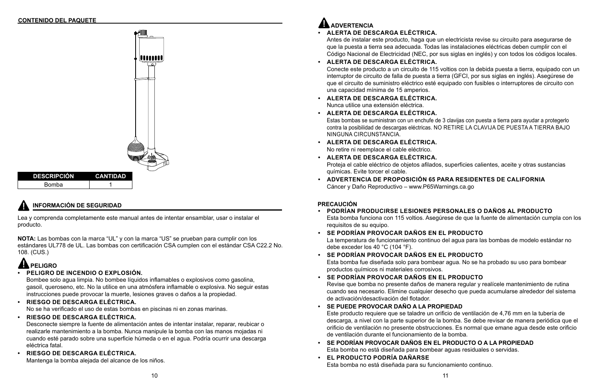### **INFORMACIÓN DE SEGURIDAD**



Lea y comprenda completamente este manual antes de intentar ensamblar, usar o instalar el producto.

**NOTA:** Las bombas con la marca "UL" y con la marca "US" se prueban para cumplir con los estándares UL778 de UL. Las bombas con certificación CSA cumplen con el estándar CSA C22.2 No. 108. (CUS.)

Antes de instalar este producto, haga que un electricista revise su circuito para asegurarse de que la puesta a tierra sea adecuada. Todas las instalaciones eléctricas deben cumplir con el Código Nacional de Electricidad (NEC, por sus siglas en inglés) y con todos los códigos locales.

Conecte este producto a un circuito de 115 voltios con la debida puesta a tierra, equipado con un interruptor de circuito de falla de puesta a tierra (GFCI, por sus siglas en inglés). Asegúrese de que el circuito de suministro eléctrico esté equipado con fusibles o interruptores de circuito con

- **• ALERTA DE DESCARGA ELÉCTRICA.**
- **• ALERTA DE DESCARGA ELÉCTRICA.** una capacidad mínima de 15 amperios.
- **• ALERTA DE DESCARGA ELÉCTRICA.** Nunca utilice una extensión eléctrica.
- **• ALERTA DE DESCARGA ELÉCTRICA.** NINGUNA CIRCUNSTANCIA.
- **• ALERTA DE DESCARGA ELÉCTRICA.** No retire ni reemplace el cable eléctrico.
- **• ALERTA DE DESCARGA ELÉCTRICA.** químicas. Evite torcer el cable.
- **• ADVERTENCIA DE PROPOSICIÓN 65 PARA RESIDENTES DE CALIFORNIA** Cáncer y Daño Reproductivo – www.P65Warnings.ca.go

Estas bombas se suministran con un enchufe de 3 clavijas con puesta a tierra para ayudar a protegerlo contra la posibilidad de descargas eléctricas. NO RETIRE LA CLAVIJA DE PUESTA A TIERRA BAJO

Proteja el cable eléctrico de objetos afilados, superficies calientes, aceite y otras sustancias

# **PELIGRO**

### **• PELIGRO DE INCENDIO O EXPLOSIÓN.**

Bombee solo agua limpia. No bombee líquidos inflamables o explosivos como gasolina, gasoil, queroseno, etc. No la utilice en una atmósfera inflamable o explosiva. No seguir estas instrucciones puede provocar la muerte, lesiones graves o daños a la propiedad.

### **• RIESGO DE DESCARGA ELÉCTRICA.**

No se ha verificado el uso de estas bombas en piscinas ni en zonas marinas.

### **• RIESGO DE DESCARGA ELÉCTRICA.**

Desconecte siempre la fuente de alimentación antes de intentar instalar, reparar, reubicar o realizarle mantenimiento a la bomba. Nunca manipule la bomba con las manos mojadas ni cuando esté parado sobre una superficie húmeda o en el agua. Podría ocurrir una descarga eléctrica fatal.

### **• RIESGO DE DESCARGA ELÉCTRICA.**

Mantenga la bomba alejada del alcance de los niños.

## **ADVERTENCIA**

### **PRECAUCIÓN**

### **• PODRÍAN PRODUCIRSE LESIONES PERSONALES O DAÑOS AL PRODUCTO**

Esta bomba funciona con 115 voltios. Asegúrese de que la fuente de alimentación cumpla con los

La temperatura de funcionamiento continuo del agua para las bombas de modelo estándar no

Esta bomba fue diseñada solo para bombear agua. No se ha probado su uso para bombear

Revise que bomba no presente daños de manera regular y realícele mantenimiento de rutina cuando sea necesario. Elimine cualquier desecho que pueda acumularse alrededor del sistema

- requisitos de su equipo.
- **• SE PODRÍAN PROVOCAR DAÑOS EN EL PRODUCTO** debe exceder los 40 °C (104 °F).
- **• SE PODRÍAN PROVOCAR DAÑOS EN EL PRODUCTO** productos químicos ni materiales corrosivos.
- **• SE PODRÍAN PROVOCAR DAÑOS EN EL PRODUCTO** de activación/desactivación del flotador.
- **• SE PUEDE PROVOCAR DAÑO A LA PROPIEDAD** de ventilación durante el funcionamiento de la bomba.
- **• SE PODRÍAN PROVOCAR DAÑOS EN EL PRODUCTO O A LA PROPIEDAD** Esta bomba no está diseñada para bombear aguas residuales o servidas.
- **• EL PRODUCTO PODRÍA DAÑARSE** Esta bomba no está diseñada para su funcionamiento continuo.

Este producto requiere que se taladre un orificio de ventilación de 4,76 mm en la tubería de descarga, a nivel con la parte superior de la bomba. Se debe revisar de manera periódica que el orificio de ventilación no presente obstrucciones. Es normal que emane agua desde este orificio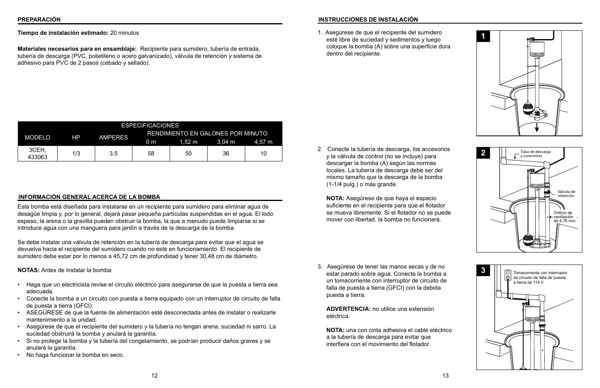**Tiempo de instalación estimado:** 20 minutos

**Materiales necesarios para en ensamblaje:** Recipiente para sumidero, tubería de entrada, tubería de descarga (PVC, polietileno o acero galvanizado), válvula de retención y sistema de adhesivo para PVC de 2 pasos (cebado y sellado).

#### **INFORMACIÓN GENERAL ACERCA DE LA BOMBA**

Esta bomba está diseñada para instalarse en un recipiente para sumidero para eliminar agua de desagüe limpia y, por lo general, dejará pasar pequeña partículas suspendidas en el agua. El lodo espeso, la arena o la gravilla pueden obstruir la bomba, la que a menudo puede limpiarse si se introduce agua con una manguera para jardín a través de la descarga de la bomba.

Se debe instalar una válvula de retención en la tubería de descarga para evitar que el agua se devuelva hacia el recipiente del sumidero cuando no esté en funcionamiento. El recipiente de sumidero debe estar por lo menos a 45,72 cm de profundidad y tener 30,48 cm de diámetro.

**NOTAS:** Antes de instalar la bomba:

- Haga que un electricista revise el circuito eléctrico para asegurarse de que la puesta a tierra sea adecuada.
- Conecte la bomba a un circuito con puesta a tierra equipado con un interruptor de circuito de falla de puesta a tierra (GFCI).
- ASEGÚRESE de que la fuente de alimentación esté desconectada antes de instalar o realizarle mantenimiento a la unidad.
- Asegúrese de que el recipiente del sumidero y la tubería no tengan arena, suciedad ni sarro. La suciedad obstruirá la bomba y anulará la garantía.
- Si no protege la bomba y la tubería del congelamiento, se podrían producir daños graves y se anulará la garantía.
- No haga funcionar la bomba en seco.

| <b>ESPECIFICACIONES</b> |     |                |                                          |                  |                  |        |
|-------------------------|-----|----------------|------------------------------------------|------------------|------------------|--------|
| <b>MODELO</b>           | HP  | <b>AMPERES</b> | <b>RENDIMIENTO EN GALONES POR MINUTO</b> |                  |                  |        |
|                         |     |                | 0 <sub>m</sub>                           | $1.52 \text{ m}$ | $3.04 \text{ m}$ | 4.57 m |
| 3CEH,<br>433063         | 1/3 | 3.5            | 58                                       | 50               | 36               | 10     |

#### **INSTRUCCIONES DE INSTALACIÓN**

1. Asegúrese de que el recipiente del sumidero esté libre de suciedad y sedimentos y luego coloque la bomba (A) sobre una superficie dura dentro del recipiente.



2. Conecte la tubería de descarga, los accesorios y la válvula de control (no se incluye) para descargar la bomba (A) según las normas locales. La tubería de descarga debe ser del mismo tamaño que la descarga de la bomba (1-1/4 pulg.) o más grande.

**NOTA:** Asegúrese de que haya el espacio suficiente en el recipiente para que el flotador se mueva libremente. Si el flotador no se puede mover con libertad, la bomba no funcionará.



3. Asegúrese de tener las manos secas y de no estar parado sobre agua. Conecte la bomba a un tomacorriente con interruptor de circuito de falla de puesta a tierra (GFCI) con la debida puesta a tierra.

**ADVERTENCIA:** no utilice una extensión eléctrica.

**NOTA:** una con cinta adhesiva el cable eléctrico a la tubería de descarga para evitar que interfiera con el movimiento del flotador.

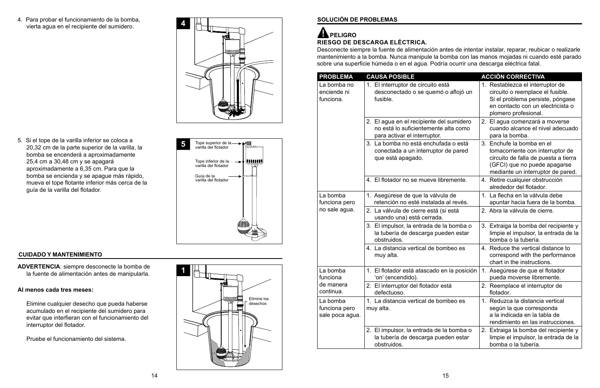4. Para probar el funcionamiento de la bomba, vierta agua en el recipiente del sumidero.



### **CUIDADO Y MANTENIMIENTO**

**ADVERTENCIA**: siempre desconecte la bomba de la fuente de alimentación antes de manipularla.

#### **Al menos cada tres meses:**



Elimine cualquier desecho que pueda haberse acumulado en el recipiente del sumidero para evitar que interfieran con el funcionamiento del interruptor del flotador.

Pruebe el funcionamiento del sistema.

5. Si el tope de la varilla inferior se coloca a 20,32 cm de la parte superior de la varilla, la bomba se encenderá a aproximadamente 25,4 cm a 30,48 cm y se apagará aproximadamente a 6,35 cm. Para que la bomba se encienda y se apague más rápido, mueva el tope flotante inferior más cerca de la guía de la varilla del flotador.



### **SOLUCIÓN DE PROBLEMAS**

### **RIESGO DE DESCARGA ELÉCTRICA. AND PELIGRO**

| <b>PROBLEMA</b>                              | <b>CAUSA POSIBLE</b>                                                                                             | <b>ACCIÓN CORRECTIVA</b>                                                                                                                                                   |
|----------------------------------------------|------------------------------------------------------------------------------------------------------------------|----------------------------------------------------------------------------------------------------------------------------------------------------------------------------|
| La bomba no<br>enciende ni<br>funciona.      | 1. El interruptor de circuito está<br>desconectado o se quemó o aflojó un<br>fusible.                            | 1. Restablezca el interruptor de<br>circuito o reemplace el fusible.<br>Si el problema persiste, póngase<br>en contacto con un electricista o<br>plomero profesional.      |
|                                              | 2. El agua en el recipiente del sumidero<br>no está lo suficientemente alta como<br>para activar el interruptor. | 2. El agua comenzará a moverse<br>cuando alcance el nivel adecuado<br>para la bomba.                                                                                       |
|                                              | 3. La bomba no está enchufada o está<br>conectada a un interruptor de pared<br>que está apagado.                 | 3. Enchufe la bomba en el<br>tomacorriente con interruptor de<br>circuito de falla de puesta a tierra<br>(GFCI) que no puede apagarse<br>mediante un interruptor de pared. |
|                                              | 4. El flotador no se mueve libremente.                                                                           | 4. Retire cualquier obstrucción<br>alrededor del flotador.                                                                                                                 |
| La bomba<br>funciona pero                    | 1. Asegúrese de que la válvula de<br>retención no esté instalada al revés.                                       | 1. La flecha en la válvula debe<br>apuntar hacia fuera de la bomba.                                                                                                        |
| no sale agua.                                | 2. La válvula de cierre está (si está<br>usando una) está cerrada.                                               | 2. Abra la válvula de cierre.                                                                                                                                              |
|                                              | 3. El impulsor, la entrada de la bomba o<br>la tubería de descarga pueden estar<br>obstruidos.                   | 3. Extraiga la bomba del recipiente y<br>limpie el impulsor, la entrada de la<br>bomba o la tubería.                                                                       |
|                                              | 4. La distancia vertical de bombeo es<br>muy alta.                                                               | 4. Reduce the vertical distance to<br>correspond with the performance<br>chart in the instructions.                                                                        |
| La bomba<br>funciona                         | 1. El flotador está atascado en la posición<br>'on' (encendido).                                                 | 1. Asegúrese de que el flotador<br>pueda moverse libremente.                                                                                                               |
| de manera<br>continua.                       | 2. El interruptor del flotador está<br>defectuoso.                                                               | 2. Reemplace el interruptor de<br>flotador.                                                                                                                                |
| La bomba<br>funciona pero<br>sale poca agua. | 1. La distancia vertical de bombeo es<br>muy alta.                                                               | 1. Reduzca la distancia vertical<br>según la que corresponda<br>a la indicada en la tabla de<br>rendimiento en las instrucciones.                                          |
|                                              | 2. El impulsor, la entrada de la bomba o<br>la tubería de descarga pueden estar<br>obstruidos.                   | 2. Extraiga la bomba del recipiente y<br>limpie el impulsor, la entrada de la<br>bomba o la tubería.                                                                       |

Desconecte siempre la fuente de alimentación antes de intentar instalar, reparar, reubicar o realizarle mantenimiento a la bomba. Nunca manipule la bomba con las manos mojadas ni cuando esté parado sobre una superficie húmeda o en el agua. Podría ocurrir una descarga eléctrica fatal.